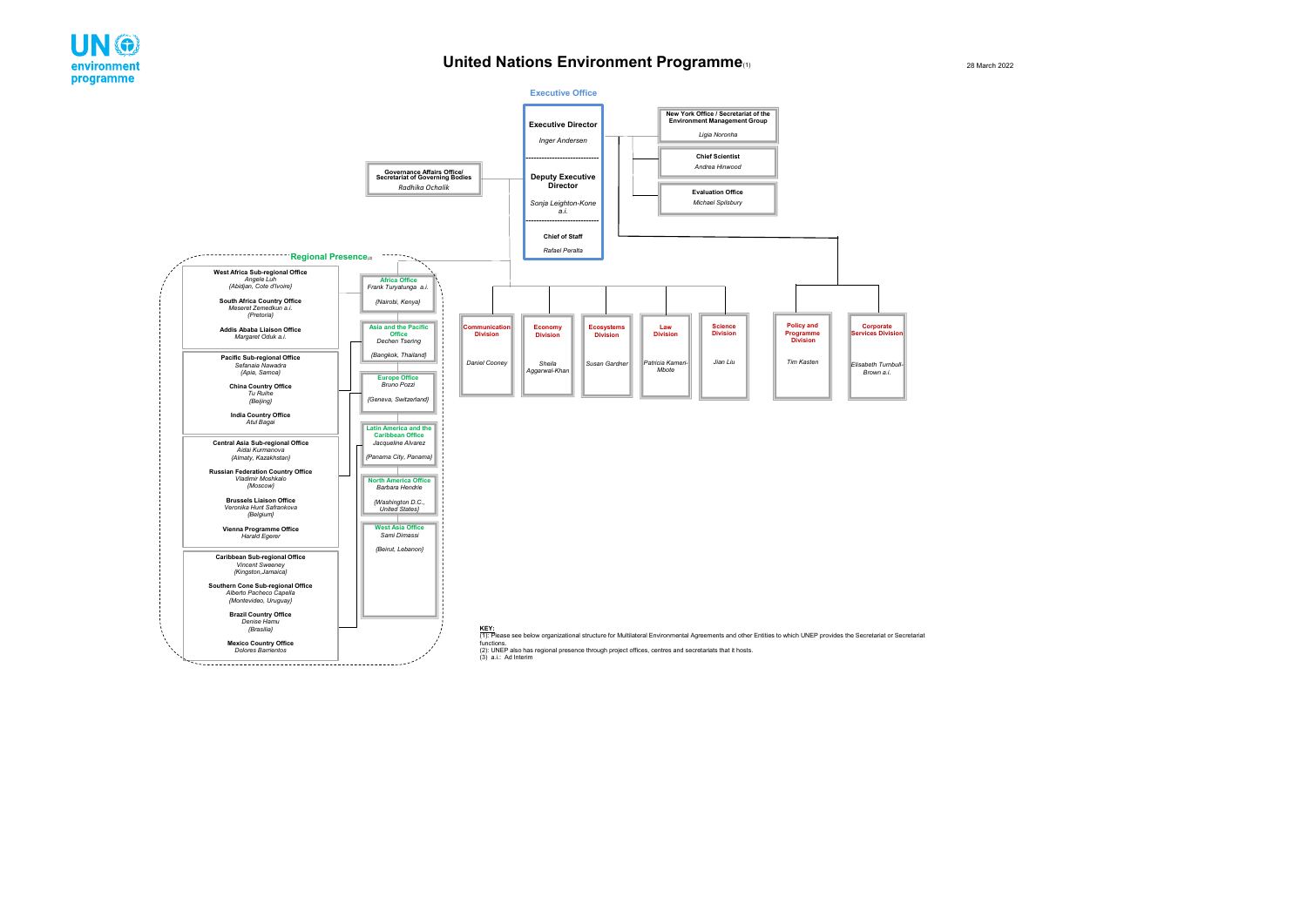## **United Nations Environment Programme**(1)



28 March 2022